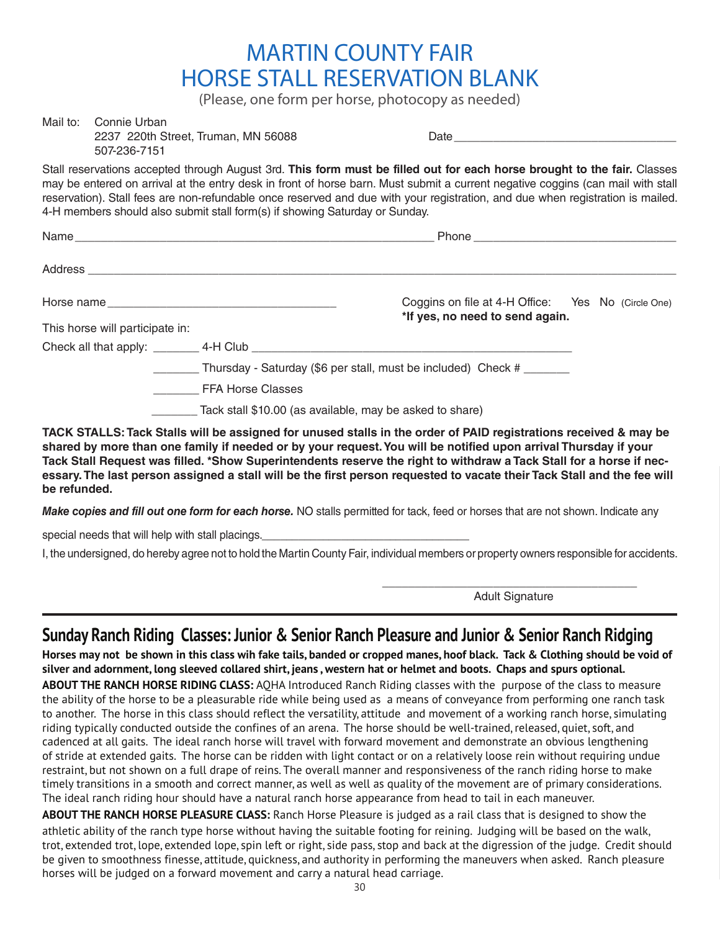## MARTIN COUNTY FAIR HORSE STALL RESERVATION BLANK

(Please, one form per horse, photocopy as needed)

| Mail to: Connie Urban<br>2237 220th Street, Truman, MN 56088<br>507-236-7151 |                                                                                                                                                                                                                                                                                                                                                                                               |  |  |  |
|------------------------------------------------------------------------------|-----------------------------------------------------------------------------------------------------------------------------------------------------------------------------------------------------------------------------------------------------------------------------------------------------------------------------------------------------------------------------------------------|--|--|--|
| 4-H members should also submit stall form(s) if showing Saturday or Sunday.  | Stall reservations accepted through August 3rd. This form must be filled out for each horse brought to the fair. Classes<br>may be entered on arrival at the entry desk in front of horse barn. Must submit a current negative coggins (can mail with stall<br>reservation). Stall fees are non-refundable once reserved and due with your registration, and due when registration is mailed. |  |  |  |
|                                                                              |                                                                                                                                                                                                                                                                                                                                                                                               |  |  |  |
|                                                                              |                                                                                                                                                                                                                                                                                                                                                                                               |  |  |  |
|                                                                              | Coggins on file at 4-H Office: Yes No (Circle One)<br>*If yes, no need to send again.                                                                                                                                                                                                                                                                                                         |  |  |  |
| This horse will participate in:                                              |                                                                                                                                                                                                                                                                                                                                                                                               |  |  |  |
|                                                                              |                                                                                                                                                                                                                                                                                                                                                                                               |  |  |  |
|                                                                              | _______ Thursday - Saturday (\$6 per stall, must be included) Check # _______                                                                                                                                                                                                                                                                                                                 |  |  |  |
| FFA Horse Classes                                                            |                                                                                                                                                                                                                                                                                                                                                                                               |  |  |  |
| Tack stall \$10.00 (as available, may be asked to share)                     |                                                                                                                                                                                                                                                                                                                                                                                               |  |  |  |
|                                                                              |                                                                                                                                                                                                                                                                                                                                                                                               |  |  |  |

**TACK STALLS: Tack Stalls will be assigned for unused stalls in the order of PAID registrations received & may be shared by more than one family if needed or by your request. You will be notified upon arrival Thursday if your Tack Stall Request was filled. \*Show Superintendents reserve the right to withdraw a Tack Stall for a horse if necessary. The last person assigned a stall will be the first person requested to vacate their Tack Stall and the fee will be refunded.**

*Make copies and fill out one form for each horse.* NO stalls permitted for tack, feed or horses that are not shown. Indicate any

special needs that will help with stall placings.

I, the undersigned, do hereby agree not to hold the Martin County Fair, individual members or property owners responsible for accidents.

\_\_\_\_\_\_\_\_\_\_\_\_\_\_\_\_\_\_\_\_\_\_\_\_\_\_\_\_\_\_\_\_\_\_\_\_\_\_\_ Adult Signature

## **Sunday Ranch Riding Classes: Junior & Senior Ranch Pleasure and Junior & Senior Ranch Ridging**

**Horses may not be shown in this class wih fake tails, banded or cropped manes, hoof black. Tack & Clothing should be void of silver and adornment, long sleeved collared shirt, jeans , western hat or helmet and boots. Chaps and spurs optional.** 

**ABOUT THE RANCH HORSE RIDING CLASS:** AQHA Introduced Ranch Riding classes with the purpose of the class to measure the ability of the horse to be a pleasurable ride while being used as a means of conveyance from performing one ranch task to another. The horse in this class should reflect the versatility, attitude and movement of a working ranch horse, simulating riding typically conducted outside the confines of an arena. The horse should be well-trained, released, quiet, soft, and cadenced at all gaits. The ideal ranch horse will travel with forward movement and demonstrate an obvious lengthening of stride at extended gaits. The horse can be ridden with light contact or on a relatively loose rein without requiring undue restraint, but not shown on a full drape of reins. The overall manner and responsiveness of the ranch riding horse to make timely transitions in a smooth and correct manner, as well as well as quality of the movement are of primary considerations. The ideal ranch riding hour should have a natural ranch horse appearance from head to tail in each maneuver.

**ABOUT THE RANCH HORSE PLEASURE CLASS:** Ranch Horse Pleasure is judged as a rail class that is designed to show the athletic ability of the ranch type horse without having the suitable footing for reining. Judging will be based on the walk, trot, extended trot, lope, extended lope, spin left or right, side pass, stop and back at the digression of the judge. Credit should be given to smoothness finesse, attitude, quickness, and authority in performing the maneuvers when asked. Ranch pleasure horses will be judged on a forward movement and carry a natural head carriage.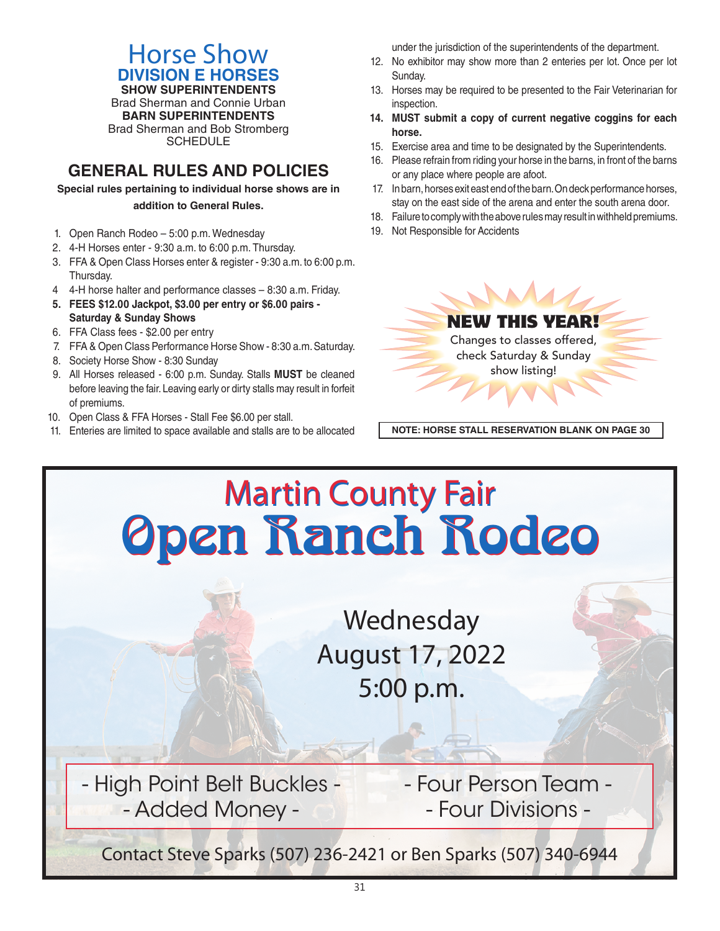## Horse Show **DIVISION E HORSES**

**SHOW SUPERINTENDENTS** Brad Sherman and Connie Urban **BARN SUPERINTENDENTS** Brad Sherman and Bob Stromberg **SCHEDULE** 

## **GENERAL RULES AND POLICIES**

**Special rules pertaining to individual horse shows are in addition to General Rules.**

- 1. Open Ranch Rodeo 5:00 p.m. Wednesday
- 2. 4-H Horses enter 9:30 a.m. to 6:00 p.m. Thursday.
- 3. FFA & Open Class Horses enter & register 9:30 a.m. to 6:00 p.m. Thursday.
- 4 4-H horse halter and performance classes 8:30 a.m. Friday.
- **5. FEES \$12.00 Jackpot, \$3.00 per entry or \$6.00 pairs Saturday & Sunday Shows**
- 6. FFA Class fees \$2.00 per entry

reservation). Stall fees are non-refundable once reserved and due with your registration, and due when registration is mailed.

- 7. FFA & Open Class Performance Horse Show 8:30 a.m. Saturday.
- 8. Society Horse Show 8:30 Sunday
- 9. All Horses released 6:00 p.m. Sunday. Stalls **MUST** be cleaned before leaving the fair. Leaving early or dirty stalls may result in forfeit of premiums.
- 10. Open Class & FFA Horses Stall Fee \$6.00 per stall.
- 11. Enteries are limited to space available and stalls are to be allocated **NOTE: HORSE STALL RESERVATION BLANK ON PAGE 30**

under the jurisdiction of the superintendents of the department.

- 12. No exhibitor may show more than 2 enteries per lot. Once per lot Sunday.
- 13. Horses may be required to be presented to the Fair Veterinarian for inspection.
- **14. MUST submit a copy of current negative coggins for each horse.**
- 15. Exercise area and time to be designated by the Superintendents.
- 16. Please refrain from riding your horse in the barns, in front of the barns or any place where people are afoot.
- 17. In barn, horses exit east end of the barn. On deck performance horses, stay on the east side of the arena and enter the south arena door.
- 18. Failure to comply with the above rules may result in withheld premiums.
- 19. Not Responsible for Accidents